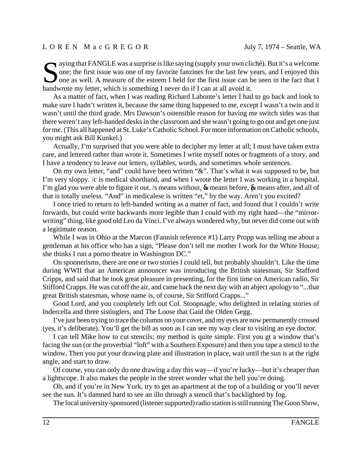## L O R E N M a c G R E G O R July 7, 1974 – Seattle, WA

Some; the first issue was one of my favorite fanzines for the last few years, and I enjoyed this one as well. A measure of the esteem I held for the first issue can be seen in the fact that I hadwrete my latter which is so one; the first issue was one of my favorite fanzines for the last few years, and I enjoyed this one as well. A measure of the esteem I held for the first issue can be seen in the fact that I handwrote my letter, which is something I never do if I can at all avoid it.

As a matter of fact, when I was reading Richard Labonte's letter I had to go back and look to make sure I hadn't written it, because the same thing happened to me, except I wasn't a twin and it wasn't until the third grade. Mrs Dawson's ostensible reason for having me switch sides was that there weren't any left-handed desks in the classroom and she wasn't going to go out and get one just for me. (This all happened at St. Luke's Catholic School. For more information on Catholic schools, you might ask Bill Kunkel.)

Actually, I'm surprised that you were able to decipher my letter at all; I must have taken extra care, and lettered rather than wrote it. Sometimes I write myself notes or fragments of a story, and I have a tendency to leave out letters, syllables, words, and sometimes whole sentences.

On my own letter, "and" could have been written "&". That's what it was supposed to be, but I'm very sloppy. /c is medical shorthand, and when I wrote the letter I was working in a hospital. I'm glad you were able to figure it out. /s means without,  $\&$  means before,  $\&$  means after, and all of that is totally useless. "And" in medicalese is written "et," by the way. Aren't you excited?

I once tried to return to left-handed writing as a matter of fact, and found that I couldn't write forwards, but could write backwards more legible than I could with my right hand—the "mirrorwriting" thing, like good old Leo da Vinci. I've always wondered why, but never did come out with a legitimate reason.

While I was in Ohio at the Marcon (Fannish reference #1) Larry Propp was telling me about a gentleman at his office who has a sign, "Please don't tell me mother I work for the White House; she thinks I run a porno theatre in Washington DC."

On spoonerisms, there are one or two stories I could tell, but probably shouldn't. Like the time during WWII that an American announcer was introducing the British statesman, Sir Stafford Cripps, and said that he took great pleasure in presenting, for the first time on American radio, Sir Stifford Crapps. He was cut off the air, and came back the next day with an abject apology to "...that great British statesman, whose name is, of course, Sir Stifford Crapps..."

Good Lord, and you completely left out Col. Stoopnagle, who delighted in relating stories of Indercella and three sistiuglers, and The Loose that Gaid the Olden Gegg.

I've just been trying to trace the columns on your cover, and my eyes are now permanently crossed (yes, it's deliberate). You'll get the bill as soon as I can see my way clear to visiting an eye doctor.

I can tell Mike how to cut stencils; my method is quite simple. First you gt a window that's facing the sun (or the proverbial "loft" with a Southern Exposure) and then you tape a stencil to the window. Then you put your drawing plate and illustration in place, wait until the sun is at the right angle, and start to draw.

Of course, you can only do one drawing a day this way—if you're lucky—but it's cheaper than a lightscope. It also makes the people in the street wonder what the hell you're doing.

Oh, and if you're in New York, try to get an apartment at the top of a building or you'll never see the sun. It's damned hard to see an illo through a stencil that's backlighted by fog.

The local university-sponsored (listener supported) radio station is still running The Goon Show,